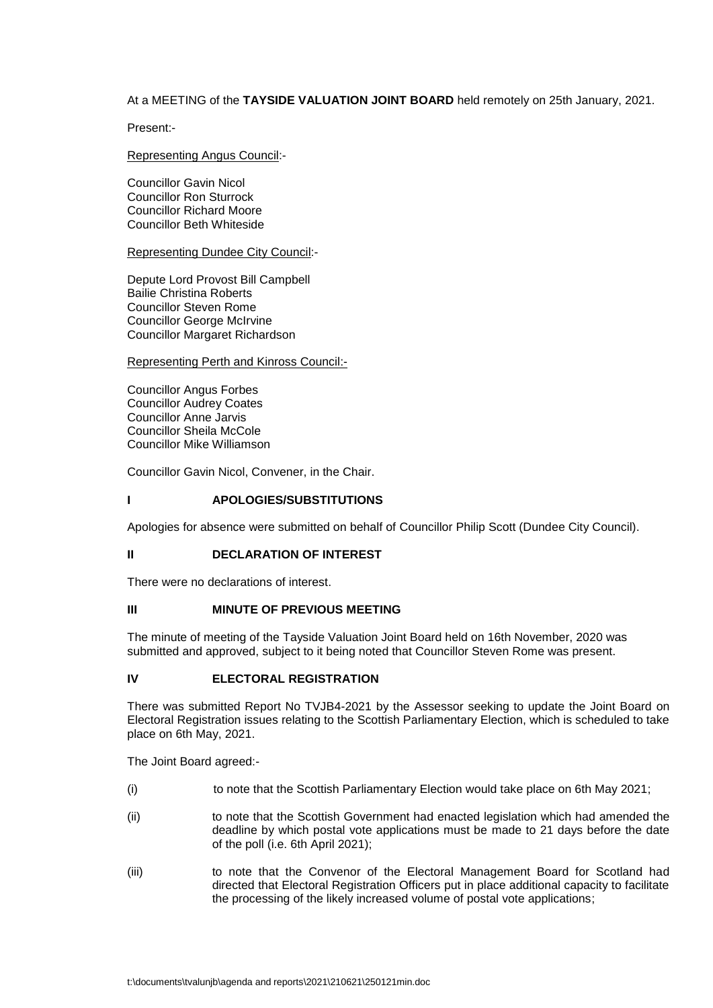# At a MEETING of the **TAYSIDE VALUATION JOINT BOARD** held remotely on 25th January, 2021.

Present:-

### Representing Angus Council:-

Councillor Gavin Nicol Councillor Ron Sturrock Councillor Richard Moore Councillor Beth Whiteside

#### Representing Dundee City Council:-

Depute Lord Provost Bill Campbell Bailie Christina Roberts Councillor Steven Rome Councillor George McIrvine Councillor Margaret Richardson

### Representing Perth and Kinross Council:-

Councillor Angus Forbes Councillor Audrey Coates Councillor Anne Jarvis Councillor Sheila McCole Councillor Mike Williamson

Councillor Gavin Nicol, Convener, in the Chair.

### **I APOLOGIES/SUBSTITUTIONS**

Apologies for absence were submitted on behalf of Councillor Philip Scott (Dundee City Council).

### **II DECLARATION OF INTEREST**

There were no declarations of interest.

## **III MINUTE OF PREVIOUS MEETING**

The minute of meeting of the Tayside Valuation Joint Board held on 16th November, 2020 was submitted and approved, subject to it being noted that Councillor Steven Rome was present.

# **IV ELECTORAL REGISTRATION**

There was submitted Report No TVJB4-2021 by the Assessor seeking to update the Joint Board on Electoral Registration issues relating to the Scottish Parliamentary Election, which is scheduled to take place on 6th May, 2021.

The Joint Board agreed:-

- (i) to note that the Scottish Parliamentary Election would take place on 6th May 2021;
- (ii) to note that the Scottish Government had enacted legislation which had amended the deadline by which postal vote applications must be made to 21 days before the date of the poll (i.e. 6th April 2021);
- (iii) to note that the Convenor of the Electoral Management Board for Scotland had directed that Electoral Registration Officers put in place additional capacity to facilitate the processing of the likely increased volume of postal vote applications;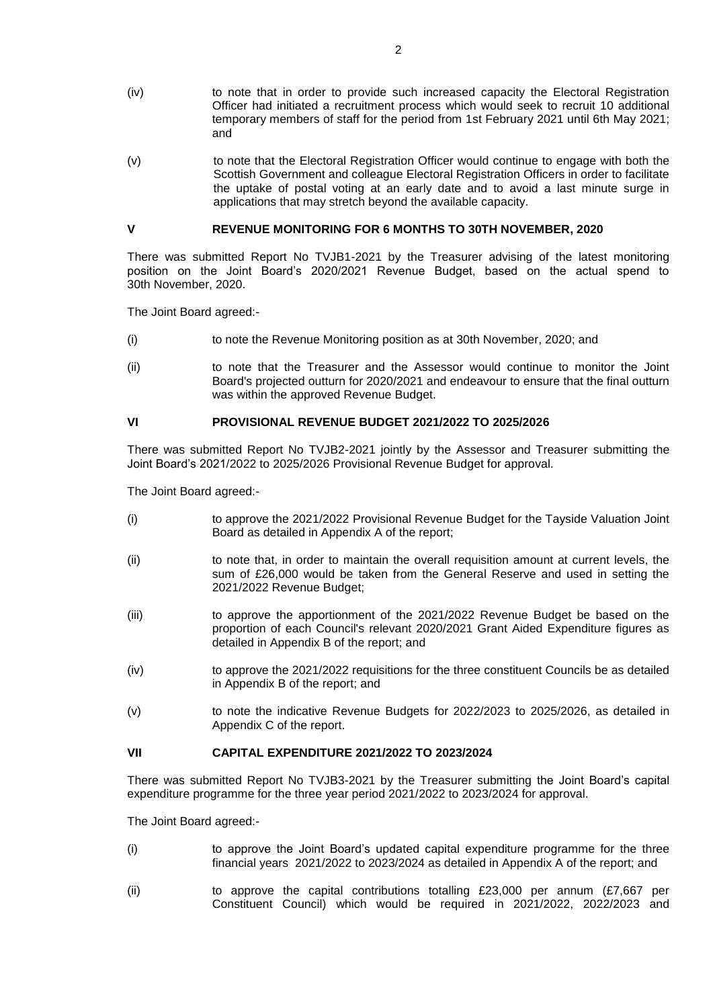- (iv) to note that in order to provide such increased capacity the Electoral Registration Officer had initiated a recruitment process which would seek to recruit 10 additional temporary members of staff for the period from 1st February 2021 until 6th May 2021; and
- (v) to note that the Electoral Registration Officer would continue to engage with both the Scottish Government and colleague Electoral Registration Officers in order to facilitate the uptake of postal voting at an early date and to avoid a last minute surge in applications that may stretch beyond the available capacity.

## **V REVENUE MONITORING FOR 6 MONTHS TO 30TH NOVEMBER, 2020**

There was submitted Report No TVJB1-2021 by the Treasurer advising of the latest monitoring position on the Joint Board's 2020/2021 Revenue Budget, based on the actual spend to 30th November, 2020.

The Joint Board agreed:-

- (i) to note the Revenue Monitoring position as at 30th November, 2020; and
- (ii) to note that the Treasurer and the Assessor would continue to monitor the Joint Board's projected outturn for 2020/2021 and endeavour to ensure that the final outturn was within the approved Revenue Budget.

## **VI PROVISIONAL REVENUE BUDGET 2021/2022 TO 2025/2026**

There was submitted Report No TVJB2-2021 jointly by the Assessor and Treasurer submitting the Joint Board's 2021/2022 to 2025/2026 Provisional Revenue Budget for approval.

The Joint Board agreed:-

- (i) to approve the 2021/2022 Provisional Revenue Budget for the Tayside Valuation Joint Board as detailed in Appendix A of the report;
- (ii) to note that, in order to maintain the overall requisition amount at current levels, the sum of £26,000 would be taken from the General Reserve and used in setting the 2021/2022 Revenue Budget;
- (iii) to approve the apportionment of the 2021/2022 Revenue Budget be based on the proportion of each Council's relevant 2020/2021 Grant Aided Expenditure figures as detailed in Appendix B of the report; and
- (iv) to approve the 2021/2022 requisitions for the three constituent Councils be as detailed in Appendix B of the report; and
- (v) to note the indicative Revenue Budgets for 2022/2023 to 2025/2026, as detailed in Appendix C of the report.

## **VII CAPITAL EXPENDITURE 2021/2022 TO 2023/2024**

There was submitted Report No TVJB3-2021 by the Treasurer submitting the Joint Board's capital expenditure programme for the three year period 2021/2022 to 2023/2024 for approval.

The Joint Board agreed:-

- (i) to approve the Joint Board's updated capital expenditure programme for the three financial years 2021/2022 to 2023/2024 as detailed in Appendix A of the report; and
- (ii) to approve the capital contributions totalling £23,000 per annum (£7,667 per Constituent Council) which would be required in 2021/2022, 2022/2023 and